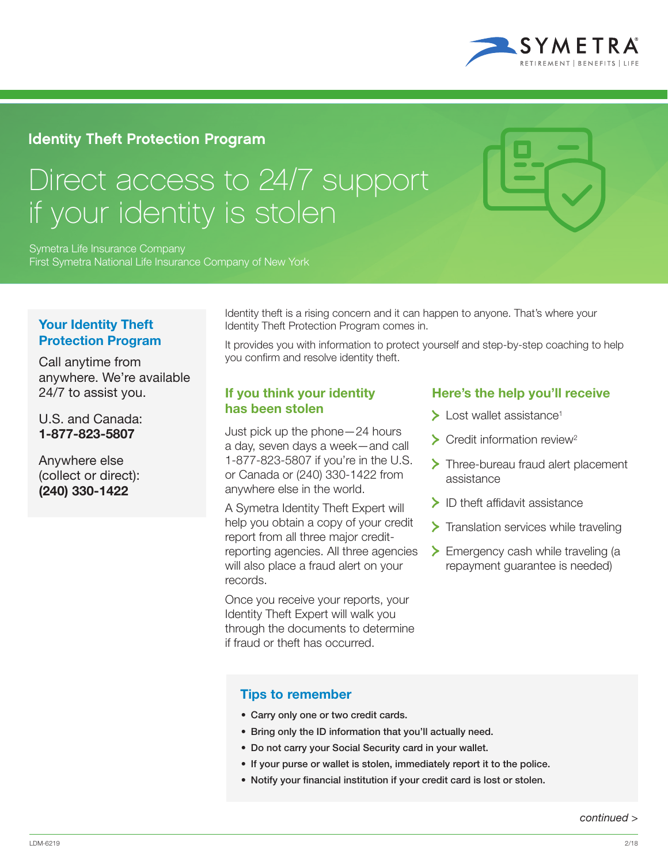

## Identity Theft Protection Program

# Direct access to 24/7 support if your identity is stolen

Symetra Life Insurance Company First Symetra National Life Insurance Company of New York

### Your Identity Theft Protection Program

Call anytime from anywhere. We're available 24/7 to assist you.

U.S. and Canada: 1-877-823-5807

Anywhere else (collect or direct): (240) 330-1422

Identity theft is a rising concern and it can happen to anyone. That's where your Identity Theft Protection Program comes in.

It provides you with information to protect yourself and step-by-step coaching to help you confirm and resolve identity theft.

#### If you think your identity has been stolen

Just pick up the phone—24 hours a day, seven days a week—and call 1-877-823-5807 if you're in the U.S. or Canada or (240) 330-1422 from anywhere else in the world.

A Symetra Identity Theft Expert will help you obtain a copy of your credit report from all three major creditreporting agencies. All three agencies will also place a fraud alert on your records.

Once you receive your reports, your Identity Theft Expert will walk you through the documents to determine if fraud or theft has occurred.

## Here's the help you'll receive

- $\blacktriangleright$  Lost wallet assistance<sup>1</sup>
- $\sum$  Credit information review<sup>2</sup>
- > Three-bureau fraud alert placement assistance
- $\blacktriangleright$  ID theft affidavit assistance
- $\sum$  Translation services while traveling
- > Emergency cash while traveling (a repayment guarantee is needed)

#### Tips to remember

- Carry only one or two credit cards.
- Bring only the ID information that you'll actually need.
- Do not carry your Social Security card in your wallet.
- If your purse or wallet is stolen, immediately report it to the police.
- Notify your financial institution if your credit card is lost or stolen.

*continued >*